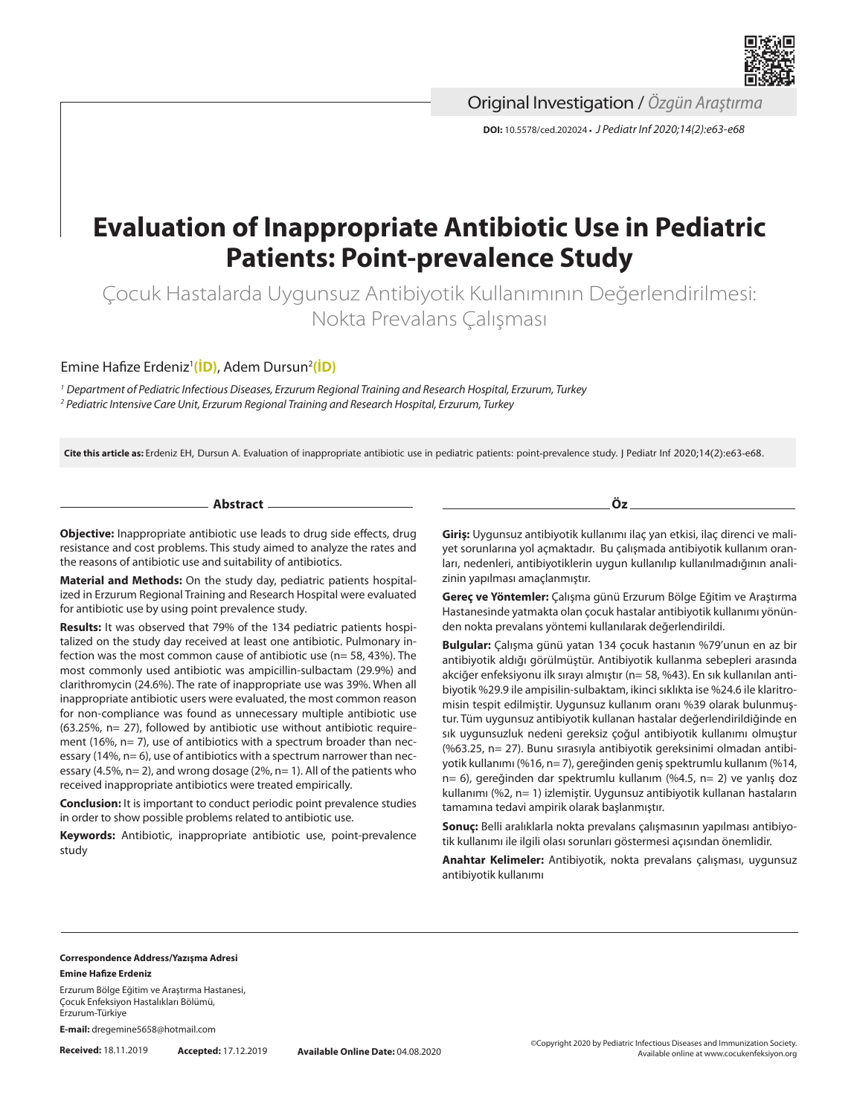

Original Investigation / *Özgün Araştırma*

**DOI:** 10.5578/ced.202024 **•** *J Pediatr Inf 2020;14(2):e63-e68*

# **Evaluation of Inappropriate Antibiotic Use in Pediatric Patients: Point-prevalence Study**

Çocuk Hastalarda Uygunsuz Antibiyotik Kullanımının Değerlendirilmesi: Nokta Prevalans Çalışması

# Emine Hafize Erdeniz1 **[\(İD\)](https://orcid.org/0000-0003-2669-0890)**, Adem Dursun2 **[\(İD\)](https://orcid.org/0000-0003-0855-780X)**

*<sup>1</sup> Department of Pediatric Infectious Diseases, Erzurum Regional Training and Research Hospital, Erzurum, Turkey 2 Pediatric Intensive Care Unit, Erzurum Regional Training and Research Hospital, Erzurum, Turkey*

**Cite this article as:** Erdeniz EH, Dursun A. Evaluation of inappropriate antibiotic use in pediatric patients: point-prevalence study. J Pediatr Inf 2020;14(2):e63-e68.

**Abstract**

**Objective:** Inappropriate antibiotic use leads to drug side effects, drug resistance and cost problems. This study aimed to analyze the rates and the reasons of antibiotic use and suitability of antibiotics.

**Material and Methods:** On the study day, pediatric patients hospitalized in Erzurum Regional Training and Research Hospital were evaluated for antibiotic use by using point prevalence study.

**Results:** It was observed that 79% of the 134 pediatric patients hospitalized on the study day received at least one antibiotic. Pulmonary infection was the most common cause of antibiotic use (n= 58, 43%). The most commonly used antibiotic was ampicillin-sulbactam (29.9%) and clarithromycin (24.6%). The rate of inappropriate use was 39%. When all inappropriate antibiotic users were evaluated, the most common reason for non-compliance was found as unnecessary multiple antibiotic use (63.25%, n= 27), followed by antibiotic use without antibiotic requirement (16%, n= 7), use of antibiotics with a spectrum broader than necessary (14%, n= 6), use of antibiotics with a spectrum narrower than necessary (4.5%, n= 2), and wrong dosage (2%, n= 1). All of the patients who received inappropriate antibiotics were treated empirically.

**Conclusion:** It is important to conduct periodic point prevalence studies in order to show possible problems related to antibiotic use.

**Keywords:** Antibiotic, inappropriate antibiotic use, point-prevalence study

**Giriş:** Uygunsuz antibiyotik kullanımı ilaç yan etkisi, ilaç direnci ve mali-

**Öz**

yet sorunlarına yol açmaktadır. Bu çalışmada antibiyotik kullanım oranları, nedenleri, antibiyotiklerin uygun kullanılıp kullanılmadığının analizinin yapılması amaçlanmıştır.

**Gereç ve Yöntemler:** Çalışma günü Erzurum Bölge Eğitim ve Araştırma Hastanesinde yatmakta olan çocuk hastalar antibiyotik kullanımı yönünden nokta prevalans yöntemi kullanılarak değerlendirildi.

**Bulgular:** Çalışma günü yatan 134 çocuk hastanın %79'unun en az bir antibiyotik aldığı görülmüştür. Antibiyotik kullanma sebepleri arasında akciğer enfeksiyonu ilk sırayı almıştır (n= 58, %43). En sık kullanılan antibiyotik %29.9 ile ampisilin-sulbaktam, ikinci sıklıkta ise %24.6 ile klaritromisin tespit edilmiştir. Uygunsuz kullanım oranı %39 olarak bulunmuştur. Tüm uygunsuz antibiyotik kullanan hastalar değerlendirildiğinde en sık uygunsuzluk nedeni gereksiz çoğul antibiyotik kullanımı olmuştur (%63.25, n= 27). Bunu sırasıyla antibiyotik gereksinimi olmadan antibiyotik kullanımı (%16, n= 7), gereğinden geniş spektrumlu kullanım (%14, n= 6), gereğinden dar spektrumlu kullanım (%4.5, n= 2) ve yanlış doz kullanımı (%2, n= 1) izlemiştir. Uygunsuz antibiyotik kullanan hastaların tamamına tedavi ampirik olarak başlanmıştır.

**Sonuç:** Belli aralıklarla nokta prevalans çalışmasının yapılması antibiyotik kullanımı ile ilgili olası sorunları göstermesi açısından önemlidir.

**Anahtar Kelimeler:** Antibiyotik, nokta prevalans çalışması, uygunsuz antibiyotik kullanımı

#### **Correspondence Address/Yazışma Adresi Emine Hafize Erdeniz**

Erzurum Bölge Eğitim ve Araştırma Hastanesi, Çocuk Enfeksiyon Hastalıkları Bölümü, Erzurum-Türkiye

**E-mail:** dregemine5658@hotmail.com

**Received:** 18.11.2019 **Accepted:** 17.12.2019

**Available Online Date:** 04.08.2020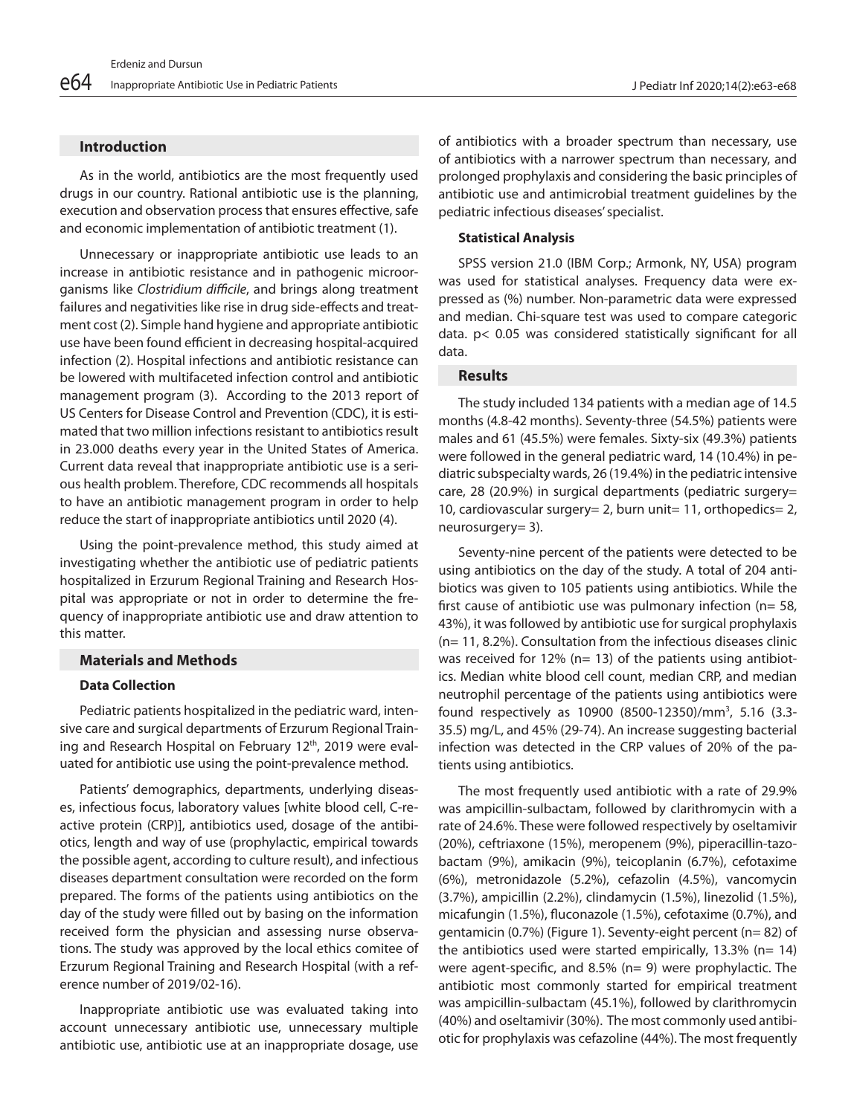#### **Introduction**

As in the world, antibiotics are the most frequently used drugs in our country. Rational antibiotic use is the planning, execution and observation process that ensures effective, safe and economic implementation of antibiotic treatment (1).

Unnecessary or inappropriate antibiotic use leads to an increase in antibiotic resistance and in pathogenic microorganisms like *Clostridium difficile*, and brings along treatment failures and negativities like rise in drug side-effects and treatment cost (2). Simple hand hygiene and appropriate antibiotic use have been found efficient in decreasing hospital-acquired infection (2). Hospital infections and antibiotic resistance can be lowered with multifaceted infection control and antibiotic management program (3). According to the 2013 report of US Centers for Disease Control and Prevention (CDC), it is estimated that two million infections resistant to antibiotics result in 23.000 deaths every year in the United States of America. Current data reveal that inappropriate antibiotic use is a serious health problem. Therefore, CDC recommends all hospitals to have an antibiotic management program in order to help reduce the start of inappropriate antibiotics until 2020 (4).

Using the point-prevalence method, this study aimed at investigating whether the antibiotic use of pediatric patients hospitalized in Erzurum Regional Training and Research Hospital was appropriate or not in order to determine the frequency of inappropriate antibiotic use and draw attention to this matter.

## **Materials and Methods**

#### **Data Collection**

Pediatric patients hospitalized in the pediatric ward, intensive care and surgical departments of Erzurum Regional Training and Research Hospital on February 12<sup>th</sup>, 2019 were evaluated for antibiotic use using the point-prevalence method.

Patients' demographics, departments, underlying diseases, infectious focus, laboratory values [white blood cell, C-reactive protein (CRP)], antibiotics used, dosage of the antibiotics, length and way of use (prophylactic, empirical towards the possible agent, according to culture result), and infectious diseases department consultation were recorded on the form prepared. The forms of the patients using antibiotics on the day of the study were filled out by basing on the information received form the physician and assessing nurse observations. The study was approved by the local ethics comitee of Erzurum Regional Training and Research Hospital (with a reference number of 2019/02-16).

Inappropriate antibiotic use was evaluated taking into account unnecessary antibiotic use, unnecessary multiple antibiotic use, antibiotic use at an inappropriate dosage, use

of antibiotics with a broader spectrum than necessary, use of antibiotics with a narrower spectrum than necessary, and prolonged prophylaxis and considering the basic principles of antibiotic use and antimicrobial treatment guidelines by the pediatric infectious diseases' specialist.

#### **Statistical Analysis**

SPSS version 21.0 (IBM Corp.; Armonk, NY, USA) program was used for statistical analyses. Frequency data were expressed as (%) number. Non-parametric data were expressed and median. Chi-square test was used to compare categoric data. p< 0.05 was considered statistically significant for all data.

#### **Results**

The study included 134 patients with a median age of 14.5 months (4.8-42 months). Seventy-three (54.5%) patients were males and 61 (45.5%) were females. Sixty-six (49.3%) patients were followed in the general pediatric ward, 14 (10.4%) in pediatric subspecialty wards, 26 (19.4%) in the pediatric intensive care, 28 (20.9%) in surgical departments (pediatric surgery= 10, cardiovascular surgery = 2, burn unit = 11, orthopedics = 2, neurosurgery= 3).

Seventy-nine percent of the patients were detected to be using antibiotics on the day of the study. A total of 204 antibiotics was given to 105 patients using antibiotics. While the first cause of antibiotic use was pulmonary infection (n= 58, 43%), it was followed by antibiotic use for surgical prophylaxis (n= 11, 8.2%). Consultation from the infectious diseases clinic was received for 12% (n= 13) of the patients using antibiotics. Median white blood cell count, median CRP, and median neutrophil percentage of the patients using antibiotics were found respectively as 10900 (8500-12350)/mm3 , 5.16 (3.3- 35.5) mg/L, and 45% (29-74). An increase suggesting bacterial infection was detected in the CRP values of 20% of the patients using antibiotics.

The most frequently used antibiotic with a rate of 29.9% was ampicillin-sulbactam, followed by clarithromycin with a rate of 24.6%. These were followed respectively by oseltamivir (20%), ceftriaxone (15%), meropenem (9%), piperacillin-tazobactam (9%), amikacin (9%), teicoplanin (6.7%), cefotaxime (6%), metronidazole (5.2%), cefazolin (4.5%), vancomycin (3.7%), ampicillin (2.2%), clindamycin (1.5%), linezolid (1.5%), micafungin (1.5%), fluconazole (1.5%), cefotaxime (0.7%), and gentamicin (0.7%) (Figure 1). Seventy-eight percent (n= 82) of the antibiotics used were started empirically,  $13.3\%$  (n= 14) were agent-specific, and 8.5% (n= 9) were prophylactic. The antibiotic most commonly started for empirical treatment was ampicillin-sulbactam (45.1%), followed by clarithromycin (40%) and oseltamivir (30%). The most commonly used antibiotic for prophylaxis was cefazoline (44%). The most frequently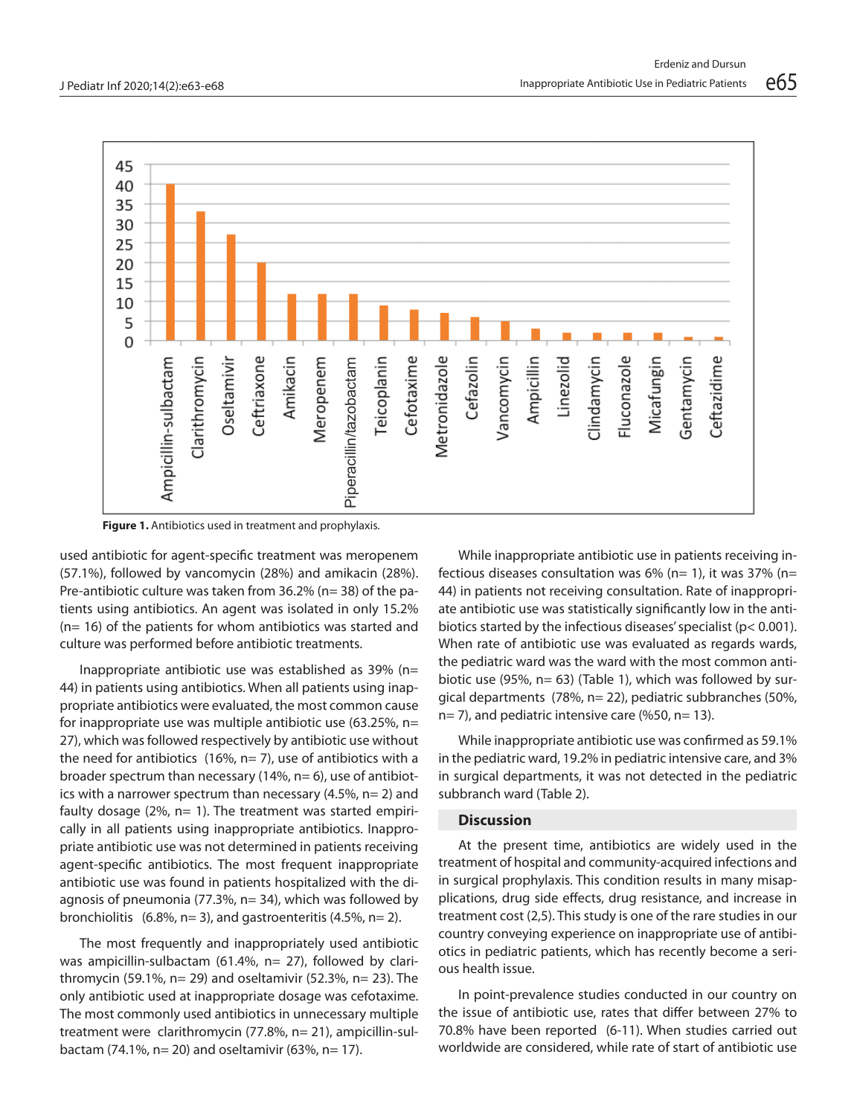

used antibiotic for agent-specific treatment was meropenem (57.1%), followed by vancomycin (28%) and amikacin (28%). Pre-antibiotic culture was taken from 36.2% (n= 38) of the patients using antibiotics. An agent was isolated in only 15.2% (n= 16) of the patients for whom antibiotics was started and culture was performed before antibiotic treatments.

Inappropriate antibiotic use was established as 39% (n= 44) in patients using antibiotics. When all patients using inappropriate antibiotics were evaluated, the most common cause for inappropriate use was multiple antibiotic use (63.25%, n= 27), which was followed respectively by antibiotic use without the need for antibiotics  $(16\%, n=7)$ , use of antibiotics with a broader spectrum than necessary (14%, n= 6), use of antibiotics with a narrower spectrum than necessary (4.5%, n= 2) and faulty dosage (2%, n= 1). The treatment was started empirically in all patients using inappropriate antibiotics. Inappropriate antibiotic use was not determined in patients receiving agent-specific antibiotics. The most frequent inappropriate antibiotic use was found in patients hospitalized with the diagnosis of pneumonia (77.3%, n= 34), which was followed by bronchiolitis  $(6.8\%, n=3)$ , and gastroenteritis  $(4.5\%, n=2)$ .

The most frequently and inappropriately used antibiotic was ampicillin-sulbactam (61.4%, n= 27), followed by clarithromycin (59.1%,  $n= 29$ ) and oseltamivir (52.3%,  $n= 23$ ). The only antibiotic used at inappropriate dosage was cefotaxime. The most commonly used antibiotics in unnecessary multiple treatment were clarithromycin (77.8%, n= 21), ampicillin-sulbactam (74.1%,  $n= 20$ ) and oseltamivir (63%,  $n= 17$ ).

While inappropriate antibiotic use in patients receiving infectious diseases consultation was  $6\%$  (n= 1), it was  $37\%$  (n= 44) in patients not receiving consultation. Rate of inappropriate antibiotic use was statistically significantly low in the antibiotics started by the infectious diseases' specialist (p< 0.001). When rate of antibiotic use was evaluated as regards wards, the pediatric ward was the ward with the most common antibiotic use (95%, n= 63) (Table 1), which was followed by surgical departments (78%, n= 22), pediatric subbranches (50%,  $n= 7$ ), and pediatric intensive care (%50,  $n= 13$ ).

While inappropriate antibiotic use was confirmed as 59.1% in the pediatric ward, 19.2% in pediatric intensive care, and 3% in surgical departments, it was not detected in the pediatric subbranch ward (Table 2).

## **Discussion**

At the present time, antibiotics are widely used in the treatment of hospital and community-acquired infections and in surgical prophylaxis. This condition results in many misapplications, drug side effects, drug resistance, and increase in treatment cost (2,5). This study is one of the rare studies in our country conveying experience on inappropriate use of antibiotics in pediatric patients, which has recently become a serious health issue.

In point-prevalence studies conducted in our country on the issue of antibiotic use, rates that differ between 27% to 70.8% have been reported (6-11). When studies carried out worldwide are considered, while rate of start of antibiotic use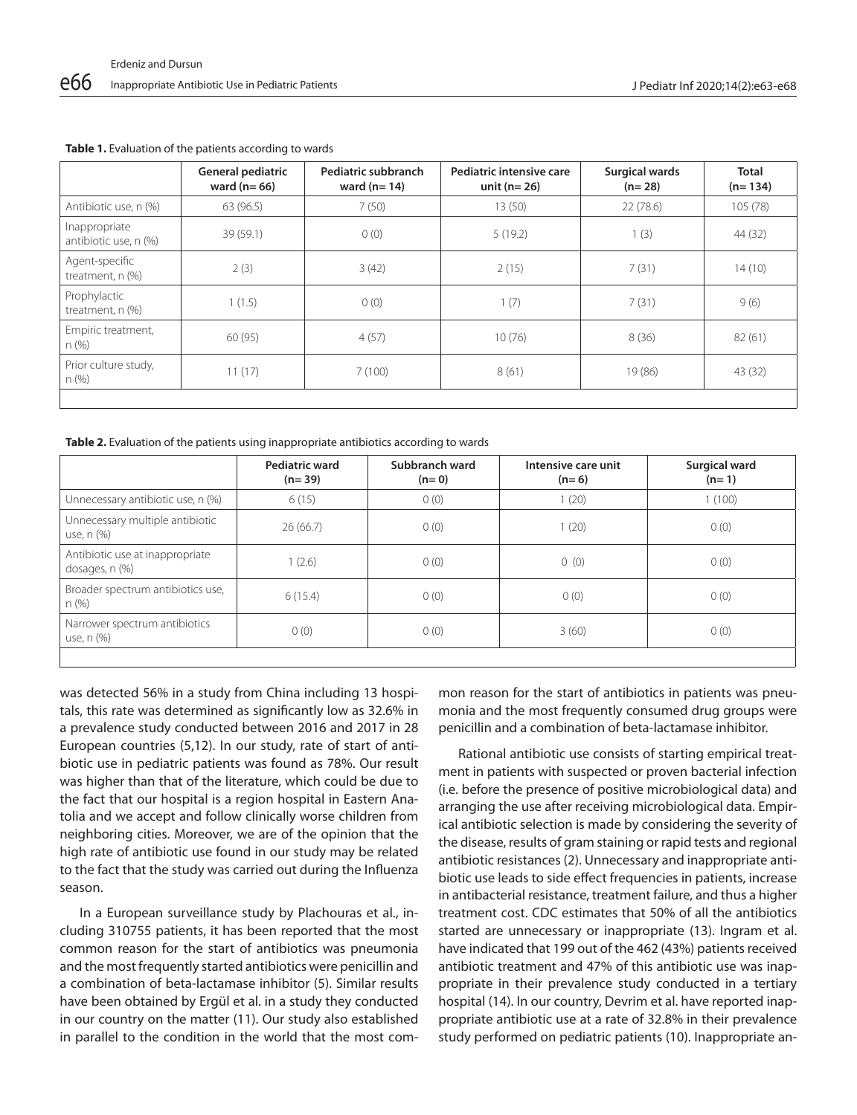|                                         | General pediatric<br>ward $(n=66)$ | Pediatric subbranch<br>ward $(n=14)$ | Pediatric intensive care<br>unit $(n=26)$ | Surgical wards<br>$(n=28)$ | <b>Total</b><br>$(n=134)$ |
|-----------------------------------------|------------------------------------|--------------------------------------|-------------------------------------------|----------------------------|---------------------------|
| Antibiotic use, n (%)                   | 63 (96.5)                          | 7(50)                                | 13(50)                                    | 22(78.6)                   | 105(78)                   |
| Inappropriate<br>antibiotic use, n (%)  | 39(59.1)                           | 0(0)                                 | 5(19.2)                                   | 1(3)                       | 44 (32)                   |
| Agent-specific<br>treatment, $n$ $(\%)$ | 2(3)                               | 3(42)                                | 2(15)                                     | 7(31)                      | 14(10)                    |
| Prophylactic<br>treatment, $n$ $(\%)$   | 1(1.5)                             | 0(0)                                 | 1(7)                                      | 7(31)                      | 9(6)                      |
| Empiric treatment,<br>n(%)              | 60 (95)                            | 4(57)                                | 10(76)                                    | 8(36)                      | 82(61)                    |
| Prior culture study,<br>n (%)           | 11(17)                             | 7(100)                               | 8(61)                                     | 19 (86)                    | 43 (32)                   |
|                                         |                                    |                                      |                                           |                            |                           |

#### **Table 1.** Evaluation of the patients according to wards

**Table 2.** Evaluation of the patients using inappropriate antibiotics according to wards

|                                                   | Pediatric ward<br>$(n=39)$ | Subbranch ward<br>$(n=0)$ | Intensive care unit<br>$(n=6)$ | Surgical ward<br>$(n=1)$ |
|---------------------------------------------------|----------------------------|---------------------------|--------------------------------|--------------------------|
| Unnecessary antibiotic use, n (%)                 | 6(15)                      | 0(0)                      | 1(20)                          | 1(100)                   |
| Unnecessary multiple antibiotic<br>use, n (%)     | 26(66.7)                   | 0(0)                      | 1(20)                          | 0(0)                     |
| Antibiotic use at inappropriate<br>dosages, n (%) | 1(2.6)                     | 0(0)                      | 0(0)                           | 0(0)                     |
| Broader spectrum antibiotics use,<br>n(%)         | 6(15.4)                    | 0(0)                      | 0(0)                           | 0(0)                     |
| Narrower spectrum antibiotics<br>use, n (%)       | 0(0)                       | 0(0)                      | 3(60)                          | 0(0)                     |
|                                                   |                            |                           |                                |                          |

was detected 56% in a study from China including 13 hospitals, this rate was determined as significantly low as 32.6% in a prevalence study conducted between 2016 and 2017 in 28 European countries (5,12). In our study, rate of start of antibiotic use in pediatric patients was found as 78%. Our result was higher than that of the literature, which could be due to the fact that our hospital is a region hospital in Eastern Anatolia and we accept and follow clinically worse children from neighboring cities. Moreover, we are of the opinion that the high rate of antibiotic use found in our study may be related to the fact that the study was carried out during the Influenza season.

In a European surveillance study by Plachouras et al., including 310755 patients, it has been reported that the most common reason for the start of antibiotics was pneumonia and the most frequently started antibiotics were penicillin and a combination of beta-lactamase inhibitor (5). Similar results have been obtained by Ergül et al. in a study they conducted in our country on the matter (11). Our study also established in parallel to the condition in the world that the most common reason for the start of antibiotics in patients was pneumonia and the most frequently consumed drug groups were penicillin and a combination of beta-lactamase inhibitor.

Rational antibiotic use consists of starting empirical treatment in patients with suspected or proven bacterial infection (i.e. before the presence of positive microbiological data) and arranging the use after receiving microbiological data. Empirical antibiotic selection is made by considering the severity of the disease, results of gram staining or rapid tests and regional antibiotic resistances (2). Unnecessary and inappropriate antibiotic use leads to side effect frequencies in patients, increase in antibacterial resistance, treatment failure, and thus a higher treatment cost. CDC estimates that 50% of all the antibiotics started are unnecessary or inappropriate (13). Ingram et al. have indicated that 199 out of the 462 (43%) patients received antibiotic treatment and 47% of this antibiotic use was inappropriate in their prevalence study conducted in a tertiary hospital (14). In our country, Devrim et al. have reported inappropriate antibiotic use at a rate of 32.8% in their prevalence study performed on pediatric patients (10). Inappropriate an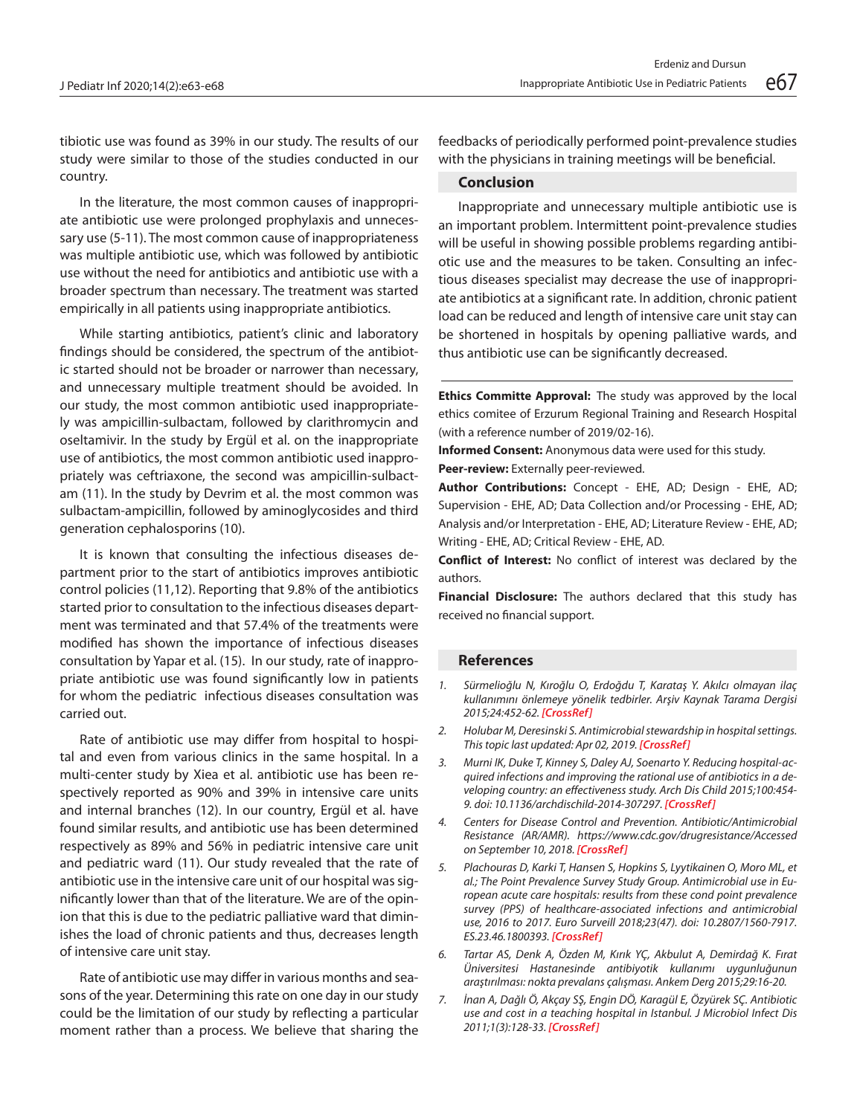tibiotic use was found as 39% in our study. The results of our study were similar to those of the studies conducted in our country.

In the literature, the most common causes of inappropriate antibiotic use were prolonged prophylaxis and unnecessary use (5-11). The most common cause of inappropriateness was multiple antibiotic use, which was followed by antibiotic use without the need for antibiotics and antibiotic use with a broader spectrum than necessary. The treatment was started empirically in all patients using inappropriate antibiotics.

While starting antibiotics, patient's clinic and laboratory findings should be considered, the spectrum of the antibiotic started should not be broader or narrower than necessary, and unnecessary multiple treatment should be avoided. In our study, the most common antibiotic used inappropriately was ampicillin-sulbactam, followed by clarithromycin and oseltamivir. In the study by Ergül et al. on the inappropriate use of antibiotics, the most common antibiotic used inappropriately was ceftriaxone, the second was ampicillin-sulbactam (11). In the study by Devrim et al. the most common was sulbactam-ampicillin, followed by aminoglycosides and third generation cephalosporins (10).

It is known that consulting the infectious diseases department prior to the start of antibiotics improves antibiotic control policies (11,12). Reporting that 9.8% of the antibiotics started prior to consultation to the infectious diseases department was terminated and that 57.4% of the treatments were modified has shown the importance of infectious diseases consultation by Yapar et al. (15). In our study, rate of inappropriate antibiotic use was found significantly low in patients for whom the pediatric infectious diseases consultation was carried out.

Rate of antibiotic use may differ from hospital to hospital and even from various clinics in the same hospital. In a multi-center study by Xiea et al. antibiotic use has been respectively reported as 90% and 39% in intensive care units and internal branches (12). In our country, Ergül et al. have found similar results, and antibiotic use has been determined respectively as 89% and 56% in pediatric intensive care unit and pediatric ward (11). Our study revealed that the rate of antibiotic use in the intensive care unit of our hospital was significantly lower than that of the literature. We are of the opinion that this is due to the pediatric palliative ward that diminishes the load of chronic patients and thus, decreases length of intensive care unit stay.

Rate of antibiotic use may differ in various months and seasons of the year. Determining this rate on one day in our study could be the limitation of our study by reflecting a particular moment rather than a process. We believe that sharing the feedbacks of periodically performed point-prevalence studies with the physicians in training meetings will be beneficial.

## **Conclusion**

 $\overline{a}$ 

Inappropriate and unnecessary multiple antibiotic use is an important problem. Intermittent point-prevalence studies will be useful in showing possible problems regarding antibiotic use and the measures to be taken. Consulting an infectious diseases specialist may decrease the use of inappropriate antibiotics at a significant rate. In addition, chronic patient load can be reduced and length of intensive care unit stay can be shortened in hospitals by opening palliative wards, and thus antibiotic use can be significantly decreased.

**Ethics Committe Approval:** The study was approved by the local ethics comitee of Erzurum Regional Training and Research Hospital (with a reference number of 2019/02-16).

**Informed Consent:** Anonymous data were used for this study.

**Peer-review:** Externally peer-reviewed.

**Author Contributions:** Concept - EHE, AD; Design - EHE, AD; Supervision - EHE, AD; Data Collection and/or Processing - EHE, AD; Analysis and/or Interpretation - EHE, AD; Literature Review - EHE, AD; Writing - EHE, AD; Critical Review - EHE, AD.

**Conflict of Interest:** No conflict of interest was declared by the authors.

**Financial Disclosure:** The authors declared that this study has received no financial support.

#### **References**

- *1. Sürmelioğlu N, Kıroğlu O, Erdoğdu T, Karataş Y. Akılcı olmayan ilaç kullanımını önlemeye yönelik tedbirler. Arşiv Kaynak Tarama Dergisi 2015;24:452-62. [\[CrossRef\]](https://doi.org/10.17827/aktd.64527)*
- *2. Holubar M, Deresinski S. Antimicrobial stewardship in hospital settings. This topic last updated: Apr 02, 2019. [CrossRef]*
- *3. Murni IK, Duke T, Kinney S, Daley AJ, Soenarto Y. Reducing hospital-acquired infections and improving the rational use of antibiotics in a developing country: an effectiveness study. Arch Dis Child 2015;100:454- 9. doi: 10.1136/archdischild-2014-307297. [\[CrossRef\]](https://doi.org/10.1136/archdischild-2014-307297)*
- *4. Centers for Disease Control and Prevention. Antibiotic/Antimicrobial Resistance (AR/AMR). https://www.cdc.gov/drugresistance/Accessed on September 10, 2018. [CrossRef]*
- *5. Plachouras D, Karki T, Hansen S, Hopkins S, Lyytikainen O, Moro ML, et al.; The Point Prevalence Survey Study Group. Antimicrobial use in European acute care hospitals: results from these cond point prevalence survey (PPS) of healthcare-associated infections and antimicrobial use, 2016 to 2017. Euro Surveill 2018;23(47). doi: 10.2807/1560-7917. ES.23.46.1800393. [\[CrossRef\]](https://doi.org/10.2807/1560-7917.es.23.46.1800393)*
- *6. Tartar AS, Denk A, Özden M, Kırık YÇ, Akbulut A, Demirdağ K. Fırat Üniversitesi Hastanesinde antibiyotik kullanımı uygunluğunun araştırılması: nokta prevalans çalışması. Ankem Derg 2015;29:16-20.*
- *7. İnan A, Dağlı Ö, Akçay SŞ, Engin DÖ, Karagül E, Özyürek SÇ. Antibiotic use and cost in a teaching hospital in Istanbul. J Microbiol Infect Dis 2011;1(3):128-33. [\[CrossRef\]](https://doi.org/10.5799/ahinjs.02.2011.03.0029)*